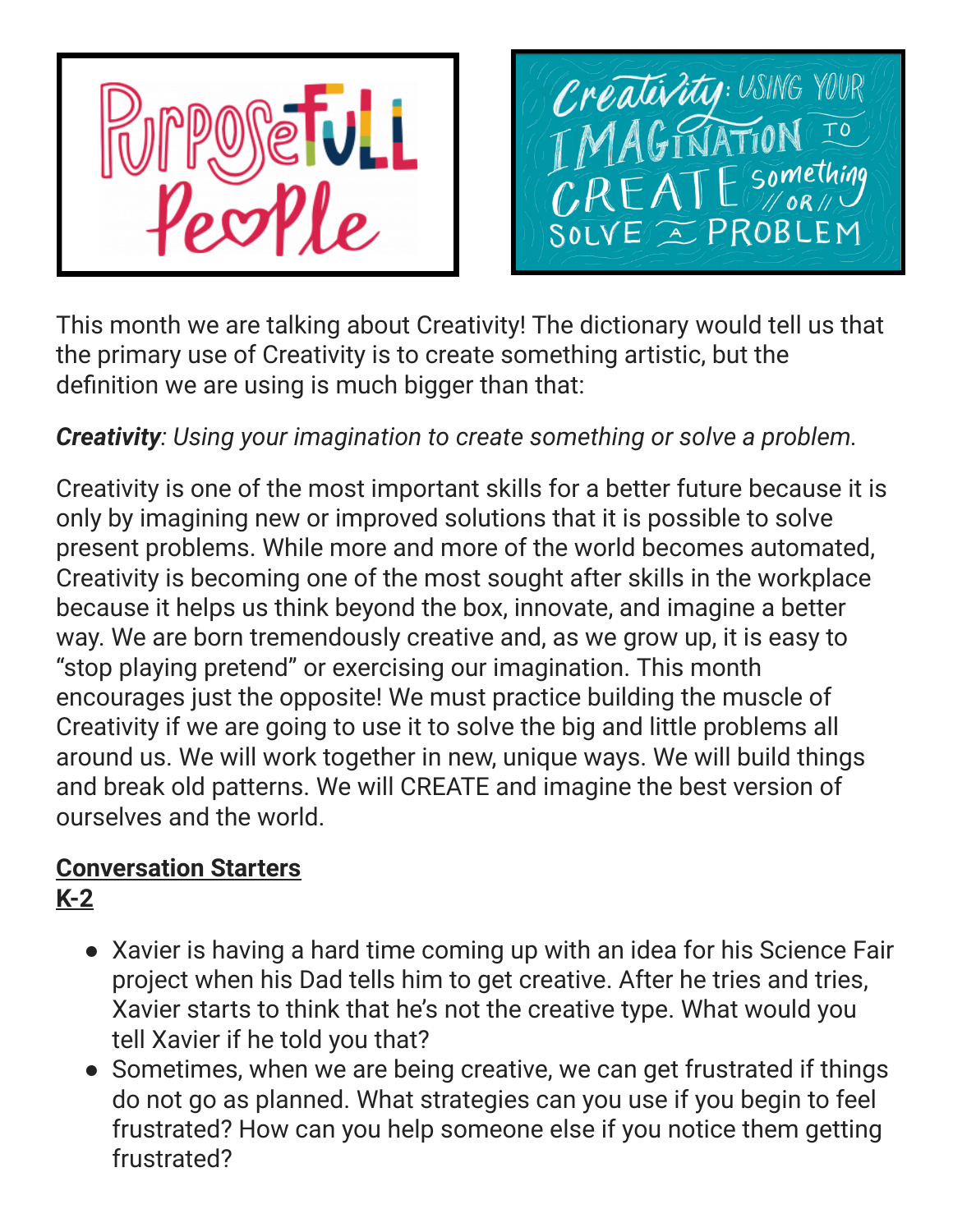

Créatévity: USING YOUR Something SOLVE E PROBLEM

This month we are talking about Creativity! The dictionary would tell us that the primary use of Creativity is to create something artistic, but the definition we are using is much bigger than that:

## *Creativity: Using your imagination to create something or solve a problem.*

Creativity is one of the most important skills for a better future because it is only by imagining new or improved solutions that it is possible to solve present problems. While more and more of the world becomes automated, Creativity is becoming one of the most sought after skills in the workplace because it helps us think beyond the box, innovate, and imagine a better way. We are born tremendously creative and, as we grow up, it is easy to "stop playing pretend" or exercising our imagination. This month encourages just the opposite! We must practice building the muscle of Creativity if we are going to use it to solve the big and little problems all around us. We will work together in new, unique ways. We will build things and break old patterns. We will CREATE and imagine the best version of ourselves and the world.

# **Conversation Starters**

## **K-2**

- Xavier is having a hard time coming up with an idea for his Science Fair project when his Dad tells him to get creative. After he tries and tries, Xavier starts to think that he's not the creative type. What would you tell Xavier if he told you that?
- Sometimes, when we are being creative, we can get frustrated if things do not go as planned. What strategies can you use if you begin to feel frustrated? How can you help someone else if you notice them getting frustrated?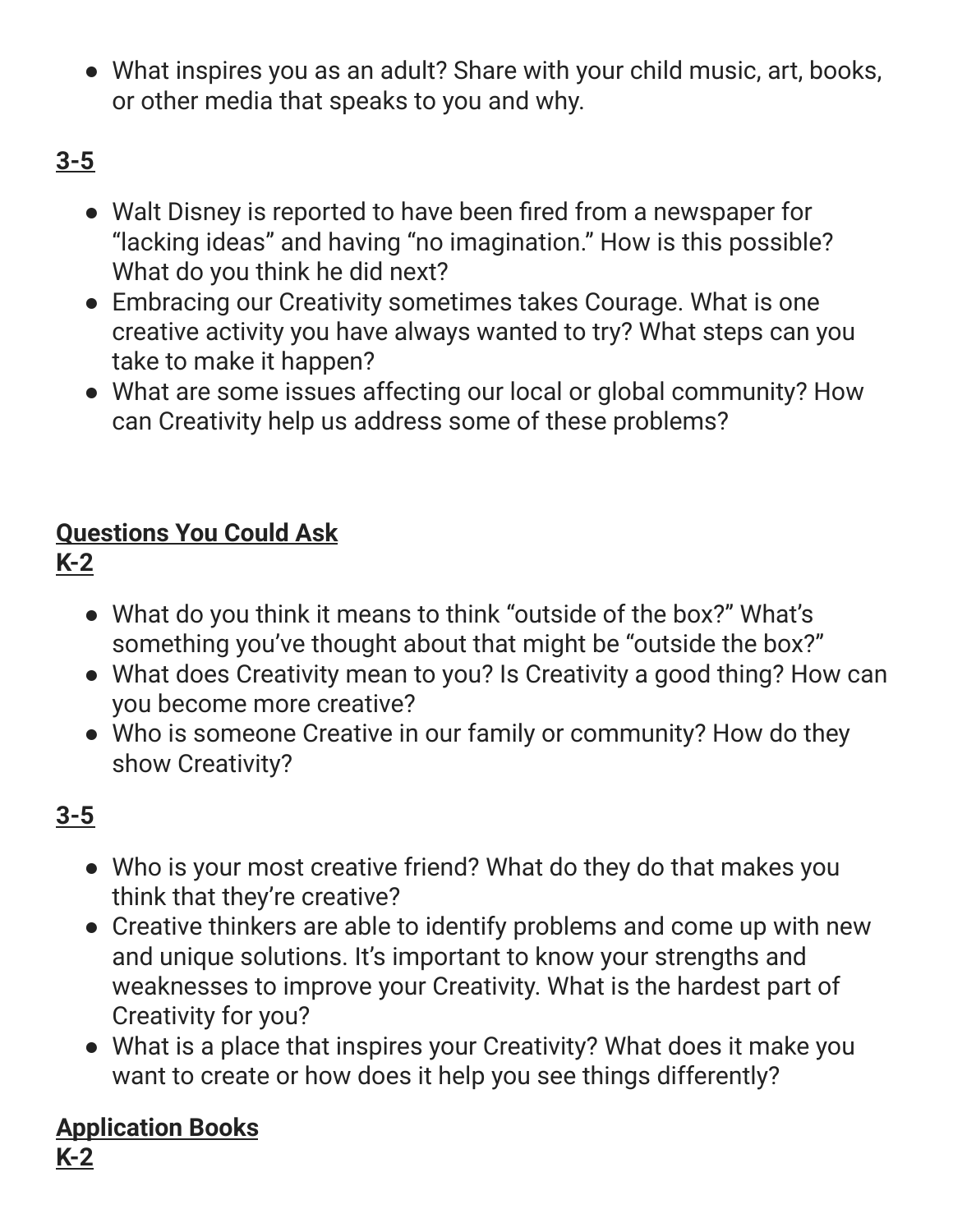● What inspires you as an adult? Share with your child music, art, books, or other media that speaks to you and why.

# **3-5**

- Walt Disney is reported to have been fired from a newspaper for "lacking ideas" and having "no imagination." How is this possible? What do you think he did next?
- Embracing our Creativity sometimes takes Courage. What is one creative activity you have always wanted to try? What steps can you take to make it happen?
- What are some issues affecting our local or global community? How can Creativity help us address some of these problems?

# **Questions You Could Ask**

## **K-2**

- What do you think it means to think "outside of the box?" What's something you've thought about that might be "outside the box?"
- What does Creativity mean to you? Is Creativity a good thing? How can you become more creative?
- Who is someone Creative in our family or community? How do they show Creativity?

## **3-5**

- Who is your most creative friend? What do they do that makes you think that they're creative?
- Creative thinkers are able to identify problems and come up with new and unique solutions. It's important to know your strengths and weaknesses to improve your Creativity. What is the hardest part of Creativity for you?
- What is a place that inspires your Creativity? What does it make you want to create or how does it help you see things differently?

## **Application Books**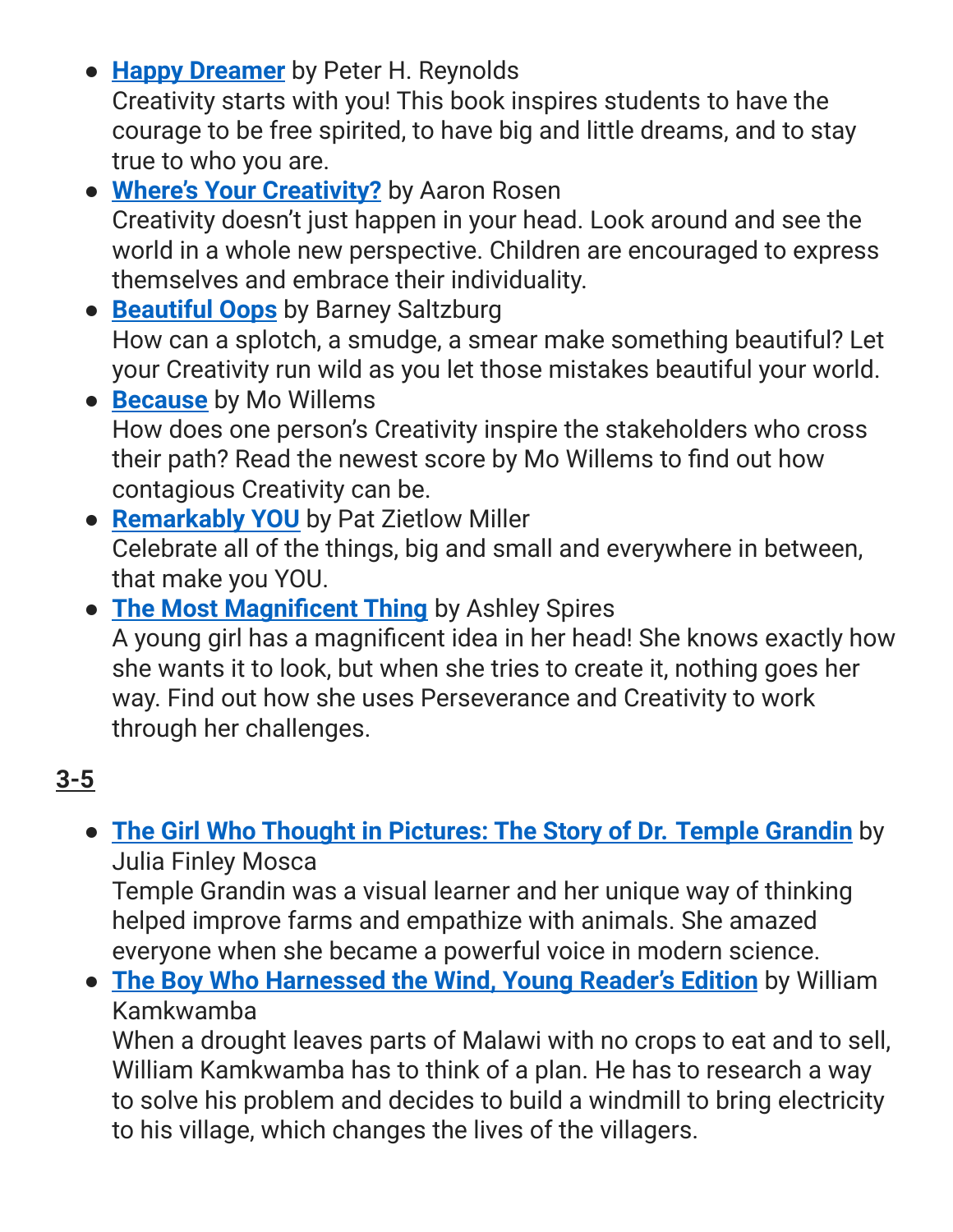- **Happy [Dreamer](https://www.amazon.com/Happy-Dreamer-Peter-H-Reynolds/dp/0545865018/ref=sr_1_1?crid=9AUZUBK54J24&keywords=happy+dreamer&qid=1560635403&s=gateway&sprefix=happy+dreamer%2Caps%2C202&sr=8-1)** by Peter H. Reynolds Creativity starts with you! This book inspires students to have the courage to be free spirited, to have big and little dreams, and to stay true to who you are.
- **Where's Your [Creativity?](https://www.amazon.com/Wheres-Your-Creativity-Aaron-Rosen/dp/184976509X/ref=sr_1_1?crid=2UE92N3JQR9JC&keywords=wheres+your+creativity&qid=1560634998&s=gateway&sprefix=where%27s+your+creat%2Caps%2C217&sr=8-1)** by Aaron Rosen Creativity doesn't just happen in your head. Look around and see the world in a whole new perspective. Children are encouraged to express themselves and embrace their individuality.
- **[Beautiful](https://www.amazon.com/Beautiful-Oops-Barney-Saltzberg/dp/076115728X) Oops** by Barney Saltzburg How can a splotch, a smudge, a smear make something beautiful? Let your Creativity run wild as you let those mistakes beautiful your world.
- **[Because](https://www.amazon.com/Because-Mo-Willems/dp/1368019013/ref=sr_1_1?crid=3DV0KXG4MJFRK&keywords=because+mo+willems&qid=1561042102&s=books&sprefix=because+mo+willems%2Cstripbooks%2C174&sr=1-1)** by Mo Willems How does one person's Creativity inspire the stakeholders who cross their path? Read the newest score by Mo Willems to find out how contagious Creativity can be.
- **[Remarkably](https://www.amazon.com/Remarkably-You-Pat-Zietlow-Miller/dp/006242758X) YOU** by Pat Zietlow Miller Celebrate all of the things, big and small and everywhere in between, that make you YOU.
- **The Most [Magnificent](https://amzn.to/2Xgau4R) Thing** by Ashley Spires A young girl has a magnificent idea in her head! She knows exactly how she wants it to look, but when she tries to create it, nothing goes her way. Find out how she uses Perseverance and Creativity to work through her challenges.

## **3-5**

## ● **The Girl Who Thought in [Pictures:](https://www.amazon.com/Girl-Who-Thought-Pictures-Scientists/dp/1943147302/ref=as_li_ss_tl?ie=UTF8&qid=1520258580&sr=8-1&keywords=girl+who+thought+in+pictures&linkCode=sl1&tag=nurtureandt0b-20&linkId=68a263b10d020ff25ba1fcd6ce73c100) The Story of Dr. Temple Grandin** by Julia Finley Mosca

Temple Grandin was a visual learner and her unique way of thinking helped improve farms and empathize with animals. She amazed everyone when she became a powerful voice in modern science.

● **The Boy Who [Harnessed](https://www.amazon.com/Boy-Harnessed-Wind-Young-Readers/dp/0147510422/ref=pd_bxgy_14_img_2/143-4922070-7001520?_encoding=UTF8&pd_rd_i=0147510422&pd_rd_r=da3bbe4c-9081-11e9-a0ed-b7962b1e05c3&pd_rd_w=bF4Yj&pd_rd_wg=Tf9d9&pf_rd_p=a2006322-0bc0-4db9-a08e-d168c18ce6f0&pf_rd_r=YY7Q9BMGAR70HEDXS3NH&psc=1&refRID=YY7Q9BMGAR70HEDXS3NH) the Wind, Young Reader's Edition** by William Kamkwamba

When a drought leaves parts of Malawi with no crops to eat and to sell, William Kamkwamba has to think of a plan. He has to research a way to solve his problem and decides to build a windmill to bring electricity to his village, which changes the lives of the villagers.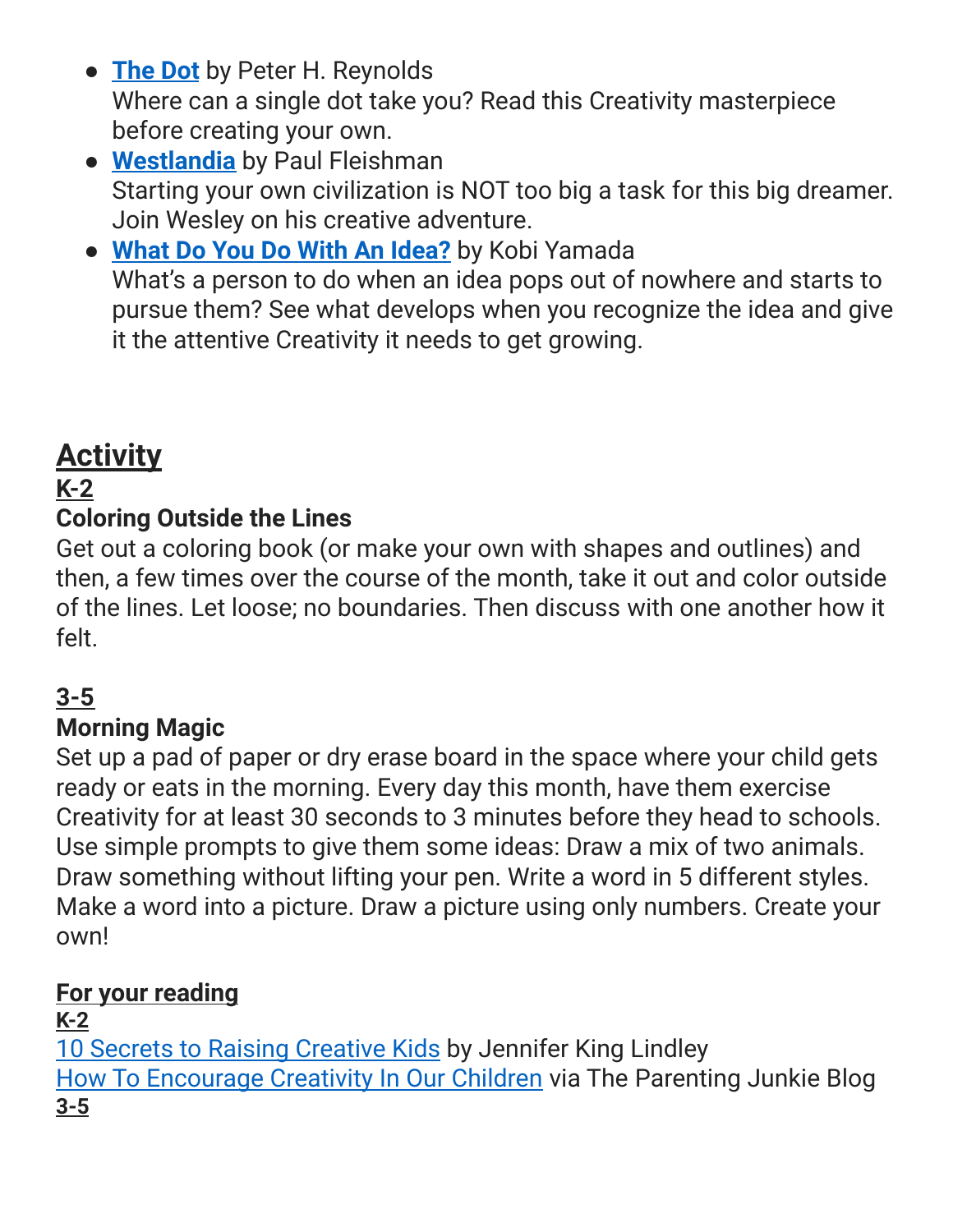- **[The](https://www.amazon.com/gp/product/0763619612/ref=as_li_tl?ie=UTF8&camp=1789&creative=390957&creativeASIN=0763619612&linkCode=as2&tag=learnthroulit-20&linkId=ZA3NGPKOXPQ23V5Z) Dot** by Peter H. Reynolds Where can a single dot take you? Read this Creativity masterpiece before creating your own.
- **[Westlandia](https://www.amazon.com/Weslandia-Paul-Fleischman/dp/0763600067/ref=tmm_hrd_swatch_0?_encoding=UTF8&qid=1561045218&sr=1-1)** by Paul Fleishman Starting your own civilization is NOT too big a task for this big dreamer. Join Wesley on his creative adventure.
- **What Do You Do With An [Idea?](https://www.amazon.com/What-Do-You-Idea/dp/1938298071)** by Kobi Yamada What's a person to do when an idea pops out of nowhere and starts to pursue them? See what develops when you recognize the idea and give it the attentive Creativity it needs to get growing.

# **Activity**

## **K-2**

### **Coloring Outside the Lines**

Get out a coloring book (or make your own with shapes and outlines) and then, a few times over the course of the month, take it out and color outside of the lines. Let loose; no boundaries. Then discuss with one another how it felt.

## **3-5**

## **Morning Magic**

Set up a pad of paper or dry erase board in the space where your child gets ready or eats in the morning. Every day this month, have them exercise Creativity for at least 30 seconds to 3 minutes before they head to schools. Use simple prompts to give them some ideas: Draw a mix of two animals. Draw something without lifting your pen. Write a word in 5 different styles. Make a word into a picture. Draw a picture using only numbers. Create your own!

#### **For your reading**

#### **K-2**

10 Secrets to Raising [Creative](https://www.parents.com/parenting/better-parenting/advice/secrets-to-raising-creative-kids/) Kids by Jennifer King Lindley How To [Encourage](https://www.theparentingjunkie.com/natural-creativity-2/) Creativity In Our Children via The Parenting Junkie Blog **3-5**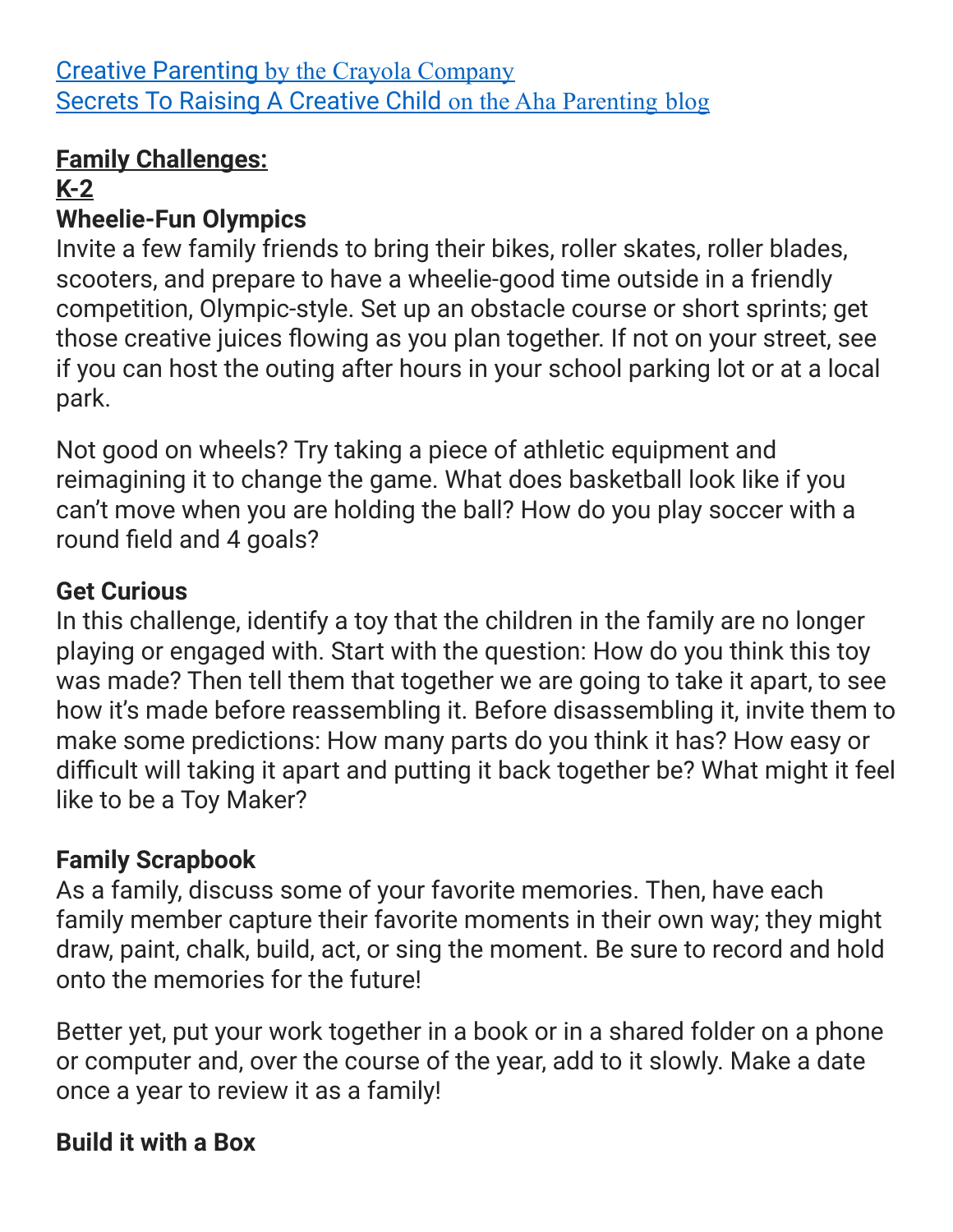### **Family Challenges:**

## **K-2**

## **Wheelie-Fun Olympics**

Invite a few family friends to bring their bikes, roller skates, roller blades, scooters, and prepare to have a wheelie-good time outside in a friendly competition, Olympic-style. Set up an obstacle course or short sprints; get those creative juices flowing as you plan together. If not on your street, see if you can host the outing after hours in your school parking lot or at a local park.

Not good on wheels? Try taking a piece of athletic equipment and reimagining it to change the game. What does basketball look like if you can't move when you are holding the ball? How do you play soccer with a round field and 4 goals?

## **Get Curious**

In this challenge, identify a toy that the children in the family are no longer playing or engaged with. Start with the question: How do you think this toy was made? Then tell them that together we are going to take it apart, to see how it's made before reassembling it. Before disassembling it, invite them to make some predictions: How many parts do you think it has? How easy or difficult will taking it apart and putting it back together be? What might it feel like to be a Toy Maker?

## **Family Scrapbook**

As a family, discuss some of your favorite memories. Then, have each family member capture their favorite moments in their own way; they might draw, paint, chalk, build, act, or sing the moment. Be sure to record and hold onto the memories for the future!

Better yet, put your work together in a book or in a shared folder on a phone or computer and, over the course of the year, add to it slowly. Make a date once a year to review it as a family!

## **Build it with a Box**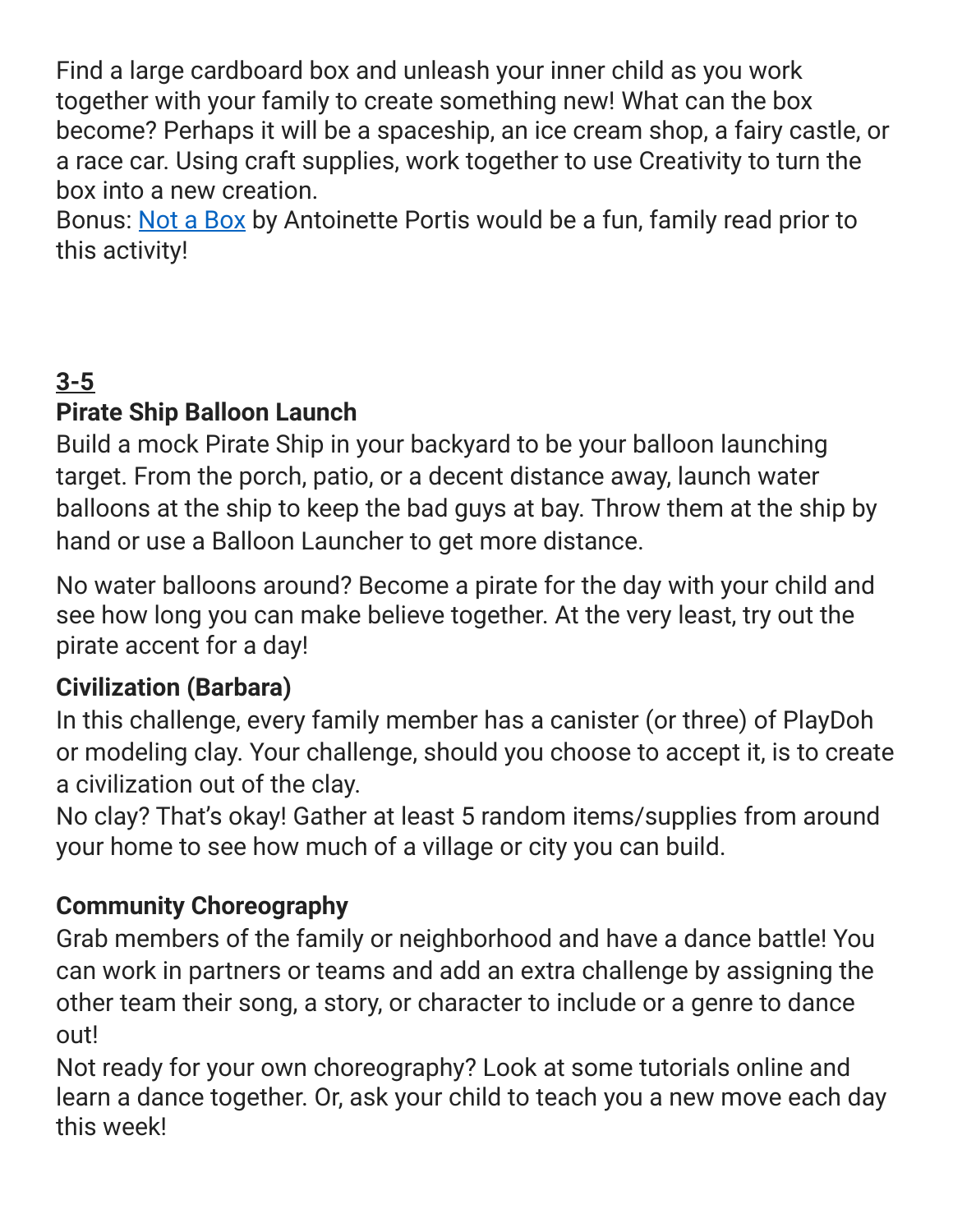Find a large cardboard box and unleash your inner child as you work together with your family to create something new! What can the box become? Perhaps it will be a spaceship, an ice cream shop, a fairy castle, or a race car. Using craft supplies, work together to use Creativity to turn the box into a new creation.

Bonus: Not a [Box](https://amzn.to/2ZWXkXa) by Antoinette Portis would be a fun, family read prior to this activity!

## **3-5**

## **Pirate Ship Balloon Launch**

Build a mock Pirate Ship in your backyard to be your balloon launching target. From the porch, patio, or a decent distance away, launch water balloons at the ship to keep the bad guys at bay. Throw them at the ship by hand or use a Balloon Launcher to get more distance.

No water balloons around? Become a pirate for the day with your child and see how long you can make believe together. At the very least, try out the pirate accent for a day!

## **Civilization (Barbara)**

In this challenge, every family member has a canister (or three) of PlayDoh or modeling clay. Your challenge, should you choose to accept it, is to create a civilization out of the clay.

No clay? That's okay! Gather at least 5 random items/supplies from around your home to see how much of a village or city you can build.

## **Community Choreography**

Grab members of the family or neighborhood and have a dance battle! You can work in partners or teams and add an extra challenge by assigning the other team their song, a story, or character to include or a genre to dance out!

Not ready for your own choreography? Look at some tutorials online and learn a dance together. Or, ask your child to teach you a new move each day this week!